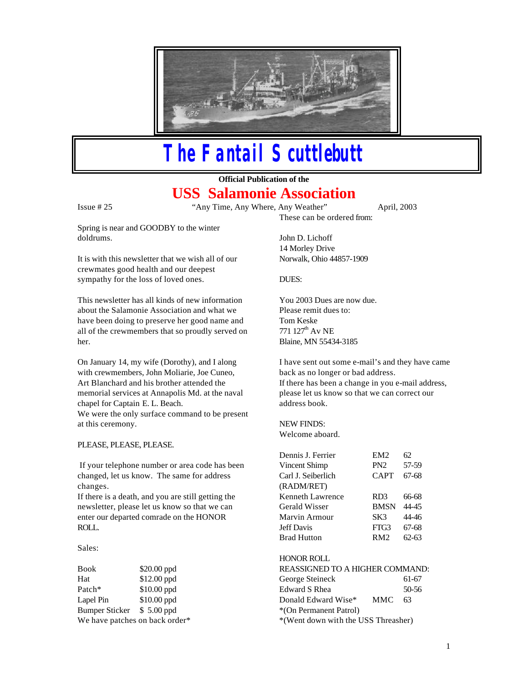

# *The Fantail Scuttlebutt*

**Official Publication of the** 

# **USS Salamonie Association**

Issue # 25 "Any Time, Any Where, Any Weather" April, 2003

These can be ordered from:

Spring is near and GOODBY to the winter doldrums.

It is with this newsletter that we wish all of our crewmates good health and our deepest sympathy for the loss of loved ones.

This newsletter has all kinds of new information about the Salamonie Association and what we have been doing to preserve her good name and all of the crewmembers that so proudly served on her.

On January 14, my wife (Dorothy), and I along with crewmembers, John Moliarie, Joe Cuneo, Art Blanchard and his brother attended the memorial services at Annapolis Md. at the naval chapel for Captain E. L. Beach. We were the only surface command to be present at this ceremony.

# PLEASE, PLEASE, PLEASE.

 If your telephone number or area code has been changed, let us know. The same for address changes.

If there is a death, and you are still getting the newsletter, please let us know so that we can enter our departed comrade on the HONOR ROLL.

Sales:

| Book                           | \$20.00 ppd |  |
|--------------------------------|-------------|--|
| Hat                            | \$12.00 ppd |  |
| Patch*                         | \$10.00 ppd |  |
| Lapel Pin                      | \$10.00 ppd |  |
| <b>Bumper Sticker</b>          | \$5.00 ppd  |  |
| We have patches on back order* |             |  |

John D. Lichoff 14 Morley Drive Norwalk, Ohio 44857-1909

## DUES:

You 2003 Dues are now due. Please remit dues to: Tom Keske 771 127<sup>th</sup> Av NE Blaine, MN 55434-3185

I have sent out some e-mail's and they have came back as no longer or bad address. If there has been a change in you e-mail address, please let us know so that we can correct our address book.

NEW FINDS:

Welcome aboard.

| Dennis J. Ferrier    | EM2             | 62        |
|----------------------|-----------------|-----------|
| Vincent Shimp        | PN <sub>2</sub> | 57-59     |
| Carl J. Seiberlich   | <b>CAPT</b>     | $67 - 68$ |
| (RADM/RET)           |                 |           |
| Kenneth Lawrence     | RD <sub>3</sub> | 66-68     |
| <b>Gerald Wisser</b> | <b>BMSN</b>     | 44-45     |
| Marvin Armour        | SK3             | 44-46     |
| <b>Jeff Davis</b>    | FTG3            | 67-68     |
| <b>Brad Hutton</b>   | RM2             | $62 - 63$ |

HONOR ROLL

| REASSIGNED TO A HIGHER COMMAND:     |     |       |  |  |
|-------------------------------------|-----|-------|--|--|
| George Steineck                     |     | 61-67 |  |  |
| Edward S Rhea                       |     | 50-56 |  |  |
| Donald Edward Wise*                 | MMC | 63    |  |  |
| *(On Permanent Patrol)              |     |       |  |  |
| *(Went down with the USS Threasher) |     |       |  |  |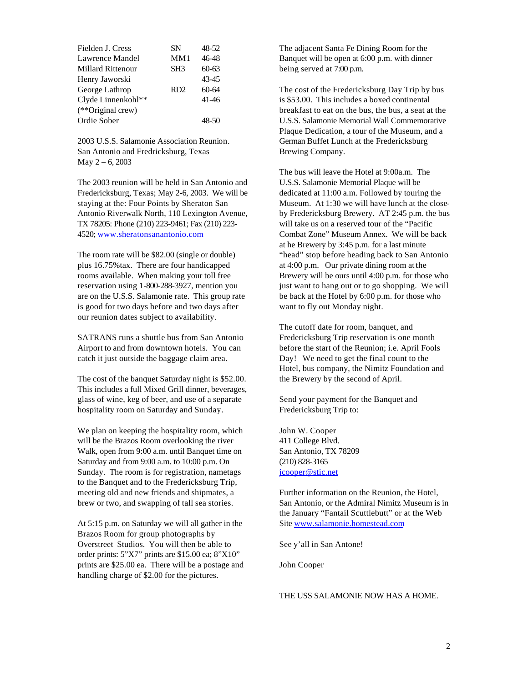| Fielden J. Cress         | <b>SN</b>       | 48-52     |
|--------------------------|-----------------|-----------|
| Lawrence Mandel          | MM1             | 46-48     |
| <b>Millard Rittenour</b> | SH <sub>3</sub> | $60 - 63$ |
| Henry Jaworski           |                 | 43-45     |
| George Lathrop           | RD2             | 60-64     |
| Clyde Linnenkohl**       |                 | $41 - 46$ |
| $(*\n  *Original crew)$  |                 |           |
| Ordie Sober              |                 | 48-50     |

2003 U.S.S. Salamonie Association Reunion. San Antonio and Fredricksburg, Texas May 2 – 6, 2003

The 2003 reunion will be held in San Antonio and Fredericksburg, Texas; May 2-6, 2003. We will be staying at the: Four Points by Sheraton San Antonio Riverwalk North, 110 Lexington Avenue, TX 78205: Phone (210) 223-9461; Fax (210) 223- 4520; www.sheratonsanantonio.com

The room rate will be \$82.00 (single or double) plus 16.75%tax. There are four handicapped rooms available. When making your toll free reservation using 1-800-288-3927, mention you are on the U.S.S. Salamonie rate. This group rate is good for two days before and two days after our reunion dates subject to availability.

SATRANS runs a shuttle bus from San Antonio Airport to and from downtown hotels. You can catch it just outside the baggage claim area.

The cost of the banquet Saturday night is \$52.00. This includes a full Mixed Grill dinner, beverages, glass of wine, keg of beer, and use of a separate hospitality room on Saturday and Sunday.

We plan on keeping the hospitality room, which will be the Brazos Room overlooking the river Walk, open from 9:00 a.m. until Banquet time on Saturday and from 9:00 a.m. to 10:00 p.m. On Sunday. The room is for registration, nametags to the Banquet and to the Fredericksburg Trip, meeting old and new friends and shipmates, a brew or two, and swapping of tall sea stories.

At 5:15 p.m. on Saturday we will all gather in the Brazos Room for group photographs by Overstreet Studios. You will then be able to order prints: 5"X7" prints are \$15.00 ea; 8"X10" prints are \$25.00 ea. There will be a postage and handling charge of \$2.00 for the pictures.

The adjacent Santa Fe Dining Room for the Banquet will be open at 6:00 p.m. with dinner being served at 7:00 p.m.

The cost of the Fredericksburg Day Trip by bus is \$53.00. This includes a boxed continental breakfast to eat on the bus, the bus, a seat at the U.S.S. Salamonie Memorial Wall Commemorative Plaque Dedication, a tour of the Museum, and a German Buffet Lunch at the Fredericksburg Brewing Company.

The bus will leave the Hotel at 9:00a.m. The U.S.S. Salamonie Memorial Plaque will be dedicated at 11:00 a.m. Followed by touring the Museum. At 1:30 we will have lunch at the closeby Fredericksburg Brewery. AT 2:45 p.m. the bus will take us on a reserved tour of the "Pacific Combat Zone" Museum Annex. We will be back at he Brewery by 3:45 p.m. for a last minute "head" stop before heading back to San Antonio at 4:00 p.m. Our private dining room at the Brewery will be ours until 4:00 p.m. for those who just want to hang out or to go shopping. We will be back at the Hotel by 6:00 p.m. for those who want to fly out Monday night.

The cutoff date for room, banquet, and Fredericksburg Trip reservation is one month before the start of the Reunion; i.e. April Fools Day! We need to get the final count to the Hotel, bus company, the Nimitz Foundation and the Brewery by the second of April.

Send your payment for the Banquet and Fredericksburg Trip to:

John W. Cooper 411 College Blvd. San Antonio, TX 78209 (210) 828-3165 jcooper@stic.net

Further information on the Reunion, the Hotel, San Antonio, or the Admiral Nimitz Museum is in the January "Fantail Scuttlebutt" or at the Web Site www.salamonie.homestead.com

See y'all in San Antone!

John Cooper

THE USS SALAMONIE NOW HAS A HOME.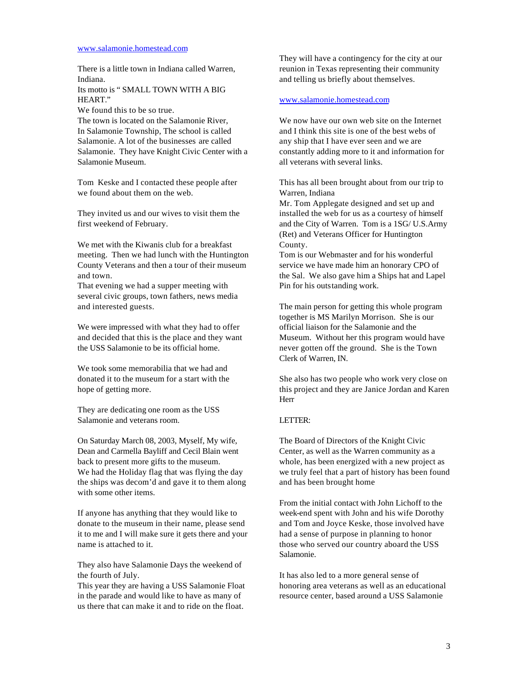### www.salamonie.homestead.com

There is a little town in Indiana called Warren, Indiana. Its motto is " SMALL TOWN WITH A BIG HEART." We found this to be so true.

The town is located on the Salamonie River, In Salamonie Township, The school is called Salamonie. A lot of the businesses are called Salamonie. They have Knight Civic Center with a Salamonie Museum.

Tom Keske and I contacted these people after we found about them on the web.

They invited us and our wives to visit them the first weekend of February.

We met with the Kiwanis club for a breakfast meeting. Then we had lunch with the Huntington County Veterans and then a tour of their museum and town.

That evening we had a supper meeting with several civic groups, town fathers, news media and interested guests.

We were impressed with what they had to offer and decided that this is the place and they want the USS Salamonie to be its official home.

We took some memorabilia that we had and donated it to the museum for a start with the hope of getting more.

They are dedicating one room as the USS Salamonie and veterans room.

On Saturday March 08, 2003, Myself, My wife, Dean and Carmella Bayliff and Cecil Blain went back to present more gifts to the museum. We had the Holiday flag that was flying the day the ships was decom'd and gave it to them along with some other items.

If anyone has anything that they would like to donate to the museum in their name, please send it to me and I will make sure it gets there and your name is attached to it.

They also have Salamonie Days the weekend of the fourth of July.

This year they are having a USS Salamonie Float in the parade and would like to have as many of us there that can make it and to ride on the float.

They will have a contingency for the city at our reunion in Texas representing their community and telling us briefly about themselves.

### www.salamonie.homestead.com

We now have our own web site on the Internet and I think this site is one of the best webs of any ship that I have ever seen and we are constantly adding more to it and information for all veterans with several links.

This has all been brought about from our trip to Warren, Indiana

Mr. Tom Applegate designed and set up and installed the web for us as a courtesy of himself and the City of Warren. Tom is a 1SG/ U.S.Army (Ret) and Veterans Officer for Huntington County.

Tom is our Webmaster and for his wonderful service we have made him an honorary CPO of the Sal. We also gave him a Ships hat and Lapel Pin for his outstanding work.

The main person for getting this whole program together is MS Marilyn Morrison. She is our official liaison for the Salamonie and the Museum. Without her this program would have never gotten off the ground. She is the Town Clerk of Warren, IN.

She also has two people who work very close on this project and they are Janice Jordan and Karen Herr

#### LETTER:

The Board of Directors of the Knight Civic Center, as well as the Warren community as a whole, has been energized with a new project as we truly feel that a part of history has been found and has been brought home

From the initial contact with John Lichoff to the week-end spent with John and his wife Dorothy and Tom and Joyce Keske, those involved have had a sense of purpose in planning to honor those who served our country aboard the USS Salamonie.

It has also led to a more general sense of honoring area veterans as well as an educational resource center, based around a USS Salamonie